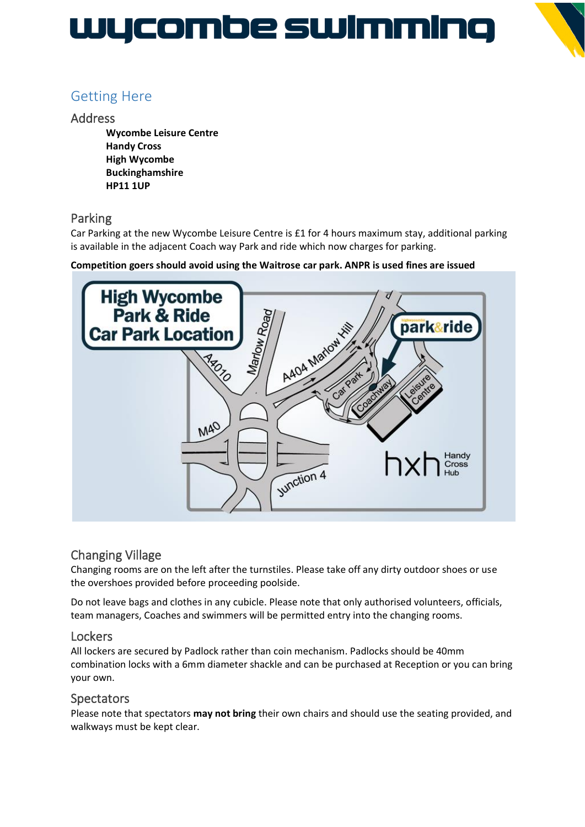# WYCOMDe SWIMMING



## Getting Here

### Address

**Wycombe Leisure Centre Handy Cross High Wycombe Buckinghamshire HP11 1UP**

## Parking

Car Parking at the new Wycombe Leisure Centre is £1 for 4 hours maximum stay, additional parking is available in the adjacent Coach way Park and ride which now charges for parking.

#### **Competition goers should avoid using the Waitrose car park. ANPR is used fines are issued**



## Changing Village

Changing rooms are on the left after the turnstiles. Please take off any dirty outdoor shoes or use the overshoes provided before proceeding poolside.

Do not leave bags and clothes in any cubicle. Please note that only authorised volunteers, officials, team managers, Coaches and swimmers will be permitted entry into the changing rooms.

### **Lockers**

All lockers are secured by Padlock rather than coin mechanism. Padlocks should be 40mm combination locks with a 6mm diameter shackle and can be purchased at Reception or you can bring your own.

## **Spectators**

Please note that spectators **may not bring** their own chairs and should use the seating provided, and walkways must be kept clear.